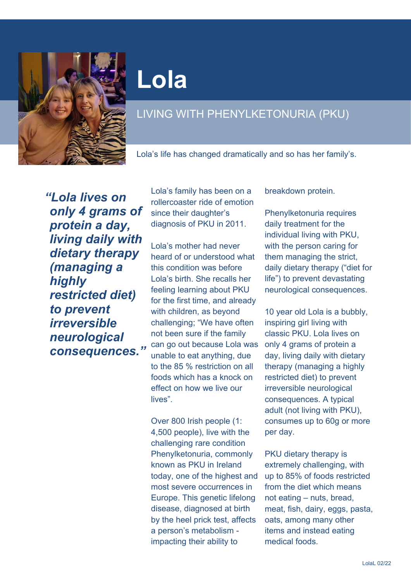

## **Lola**

## LIVING WITH PHENYLKETONURIA (PKU)

Lola's life has changed dramatically and so has her family's.

*"Lola lives on only 4 grams of protein a day, living daily with dietary therapy (managing a highly restricted diet) to prevent irreversible neurological consequences."* Lola's family has been on a rollercoaster ride of emotion since their daughter's diagnosis of PKU in 2011.

Lola's mother had never heard of or understood what this condition was before Lola's birth. She recalls her feeling learning about PKU for the first time, and already with children, as beyond challenging; "We have often not been sure if the family can go out because Lola was unable to eat anything, due to the 85 % restriction on all foods which has a knock on effect on how we live our lives".

Over 800 Irish people (1: 4,500 people), live with the challenging rare condition Phenylketonuria, commonly known as PKU in Ireland today, one of the highest and most severe occurrences in Europe. This genetic lifelong disease, diagnosed at birth by the heel prick test, affects a person's metabolism impacting their ability to

breakdown protein.

Phenylketonuria requires daily treatment for the individual living with PKU, with the person caring for them managing the strict, daily dietary therapy ("diet for life") to prevent devastating neurological consequences.

10 year old Lola is a bubbly, inspiring girl living with classic PKU. Lola lives on only 4 grams of protein a day, living daily with dietary therapy (managing a highly restricted diet) to prevent irreversible neurological consequences. A typical adult (not living with PKU), consumes up to 60g or more per day.

PKU dietary therapy is extremely challenging, with up to 85% of foods restricted from the diet which means not eating – nuts, bread, meat, fish, dairy, eggs, pasta, oats, among many other items and instead eating medical foods.